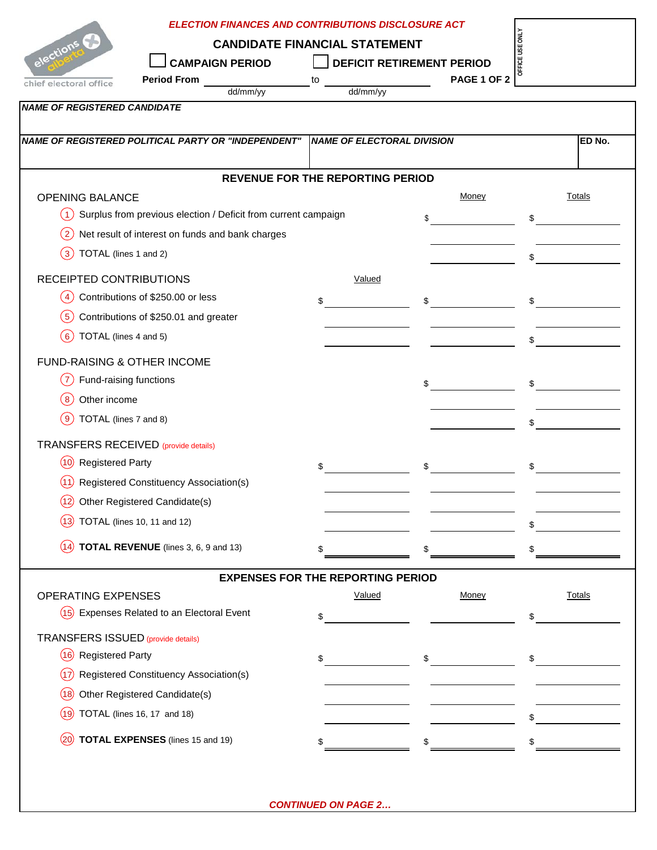|                                             | <b>ELECTION FINANCES AND CONTRIBUTIONS DISCLOSURE ACT</b>                      |                                          |                                  |               |  |  |
|---------------------------------------------|--------------------------------------------------------------------------------|------------------------------------------|----------------------------------|---------------|--|--|
|                                             | OFFICE USE ONLY<br><b>CANDIDATE FINANCIAL STATEMENT</b>                        |                                          |                                  |               |  |  |
| elections C                                 | <b>CAMPAIGN PERIOD</b>                                                         |                                          | <b>DEFICIT RETIREMENT PERIOD</b> |               |  |  |
| chief electoral office                      | <b>Period From</b>                                                             | to                                       | PAGE 1 OF 2                      |               |  |  |
| <b>NAME OF REGISTERED CANDIDATE</b>         | dd/mm/yy                                                                       | dd/mm/yy                                 |                                  |               |  |  |
|                                             |                                                                                |                                          |                                  |               |  |  |
|                                             | NAME OF REGISTERED POLITICAL PARTY OR "INDEPENDENT" NAME OF ELECTORAL DIVISION |                                          |                                  | ED No.        |  |  |
|                                             |                                                                                |                                          |                                  |               |  |  |
|                                             |                                                                                | <b>REVENUE FOR THE REPORTING PERIOD</b>  |                                  |               |  |  |
| <b>OPENING BALANCE</b>                      |                                                                                |                                          | Money                            | Totals        |  |  |
| $\left( 1\right)$                           | Surplus from previous election / Deficit from current campaign                 |                                          | \$                               | \$            |  |  |
| $\left( 2\right)$                           | Net result of interest on funds and bank charges                               |                                          |                                  |               |  |  |
| TOTAL (lines 1 and 2)<br>$\left(3\right)$   |                                                                                |                                          |                                  | \$            |  |  |
| RECEIPTED CONTRIBUTIONS                     |                                                                                | Valued                                   |                                  |               |  |  |
| (4)                                         | Contributions of \$250.00 or less                                              | \$                                       | \$                               | \$            |  |  |
| (5)                                         | Contributions of \$250.01 and greater                                          |                                          |                                  |               |  |  |
| TOTAL (lines 4 and 5)<br>(6)                |                                                                                |                                          |                                  | \$            |  |  |
|                                             |                                                                                |                                          |                                  |               |  |  |
| FUND-RAISING & OTHER INCOME                 |                                                                                |                                          |                                  |               |  |  |
| $\overline{7}$<br>Fund-raising functions    |                                                                                |                                          | \$                               | \$            |  |  |
| Other income<br>8 <sup>8</sup>              |                                                                                |                                          |                                  |               |  |  |
| TOTAL (lines 7 and 8)<br>$\left(9\right)$   |                                                                                |                                          |                                  | \$            |  |  |
| <b>TRANSFERS RECEIVED</b> (provide details) |                                                                                |                                          |                                  |               |  |  |
| (10)<br><b>Registered Party</b>             |                                                                                | \$                                       | \$                               | \$            |  |  |
| 11.                                         | Registered Constituency Association(s)                                         |                                          |                                  |               |  |  |
| (12)                                        | Other Registered Candidate(s)                                                  |                                          |                                  |               |  |  |
| .13                                         | TOTAL (lines 10, 11 and 12)                                                    |                                          |                                  |               |  |  |
| (14)                                        | TOTAL REVENUE (lines 3, 6, 9 and 13)                                           |                                          |                                  |               |  |  |
|                                             |                                                                                |                                          |                                  |               |  |  |
|                                             |                                                                                | <b>EXPENSES FOR THE REPORTING PERIOD</b> |                                  |               |  |  |
| <b>OPERATING EXPENSES</b>                   |                                                                                | Valued                                   | Money                            | <b>Totals</b> |  |  |
|                                             | (15) Expenses Related to an Electoral Event                                    | \$                                       |                                  | \$            |  |  |
| <b>TRANSFERS ISSUED</b> (provide details)   |                                                                                |                                          |                                  |               |  |  |
| (16)<br><b>Registered Party</b>             |                                                                                | \$                                       | \$                               | \$            |  |  |
| (17)                                        | Registered Constituency Association(s)                                         |                                          |                                  |               |  |  |
| (18)                                        | Other Registered Candidate(s)                                                  |                                          |                                  |               |  |  |
| (19)                                        | TOTAL (lines 16, 17 and 18)                                                    |                                          |                                  |               |  |  |
| (20)                                        | <b>TOTAL EXPENSES</b> (lines 15 and 19)                                        |                                          |                                  |               |  |  |
|                                             |                                                                                |                                          |                                  |               |  |  |

*CONTINUED ON PAGE 2…*